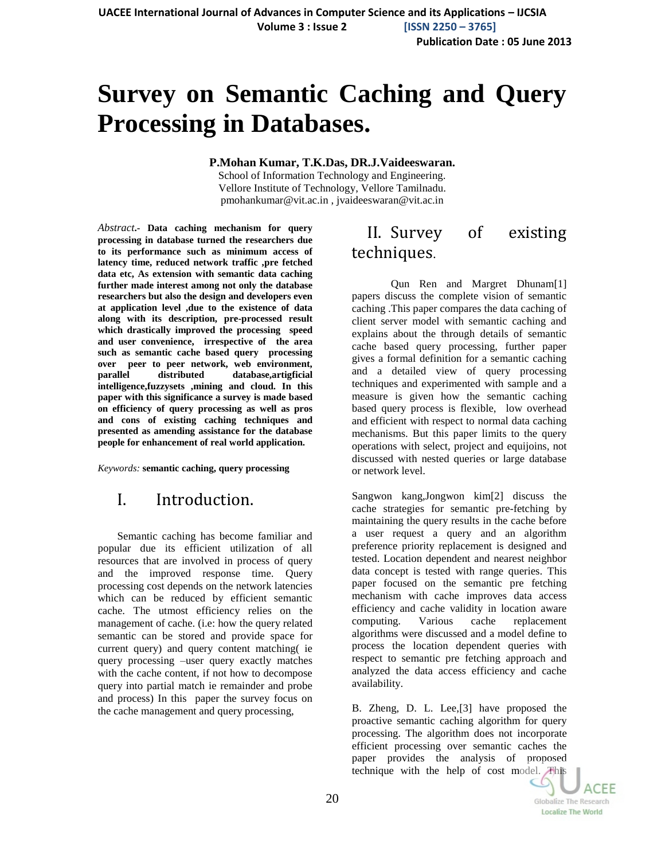**Publication Date : 05 June 2013**

# **Survey on Semantic Caching and Query Processing in Databases.**

#### **P.Mohan Kumar, T.K.Das, DR.J.Vaideeswaran.**

School of Information Technology and Engineering. Vellore Institute of Technology, Vellore Tamilnadu. pmohankumar@vit.ac.in , jvaideeswaran@vit.ac.in

*Abstract***.- Data caching mechanism for query processing in database turned the researchers due to its performance such as minimum access of latency time, reduced network traffic ,pre fetched data etc, As extension with semantic data caching further made interest among not only the database researchers but also the design and developers even at application level ,due to the existence of data along with its description, pre-processed result which drastically improved the processing speed and user convenience, irrespective of the area such as semantic cache based query processing over peer to peer network, web environment, parallel distributed database,artigficial intelligence,fuzzysets ,mining and cloud. In this paper with this significance a survey is made based on efficiency of query processing as well as pros and cons of existing caching techniques and presented as amending assistance for the database people for enhancement of real world application.**

*Keywords:* **semantic caching, query processing**

### I. Introduction.

Semantic caching has become familiar and popular due its efficient utilization of all resources that are involved in process of query and the improved response time. Query processing cost depends on the network latencies which can be reduced by efficient semantic cache. The utmost efficiency relies on the management of cache. (i.e: how the query related semantic can be stored and provide space for current query) and query content matching( ie query processing –user query exactly matches with the cache content, if not how to decompose query into partial match ie remainder and probe and process) In this paper the survey focus on the cache management and query processing,

#### II. Survey of existing techniques.

Qun Ren and Margret Dhunam[1] papers discuss the complete vision of semantic caching .This paper compares the data caching of client server model with semantic caching and explains about the through details of semantic cache based query processing, further paper gives a formal definition for a semantic caching and a detailed view of query processing techniques and experimented with sample and a measure is given how the semantic caching based query process is flexible, low overhead and efficient with respect to normal data caching mechanisms. But this paper limits to the query operations with select, project and equijoins, not discussed with nested queries or large database or network level.

Sangwon kang,Jongwon kim[2] discuss the cache strategies for semantic pre-fetching by maintaining the query results in the cache before a user request a query and an algorithm preference priority replacement is designed and tested. Location dependent and nearest neighbor data concept is tested with range queries. This paper focused on the semantic pre fetching mechanism with cache improves data access efficiency and cache validity in location aware computing. Various cache replacement algorithms were discussed and a model define to process the location dependent queries with respect to semantic pre fetching approach and analyzed the data access efficiency and cache availability.

B. Zheng, D. L. Lee,[3] have proposed the proactive semantic caching algorithm for query processing. The algorithm does not incorporate efficient processing over semantic caches the paper provides the analysis of proposed technique with the help of cost model. This

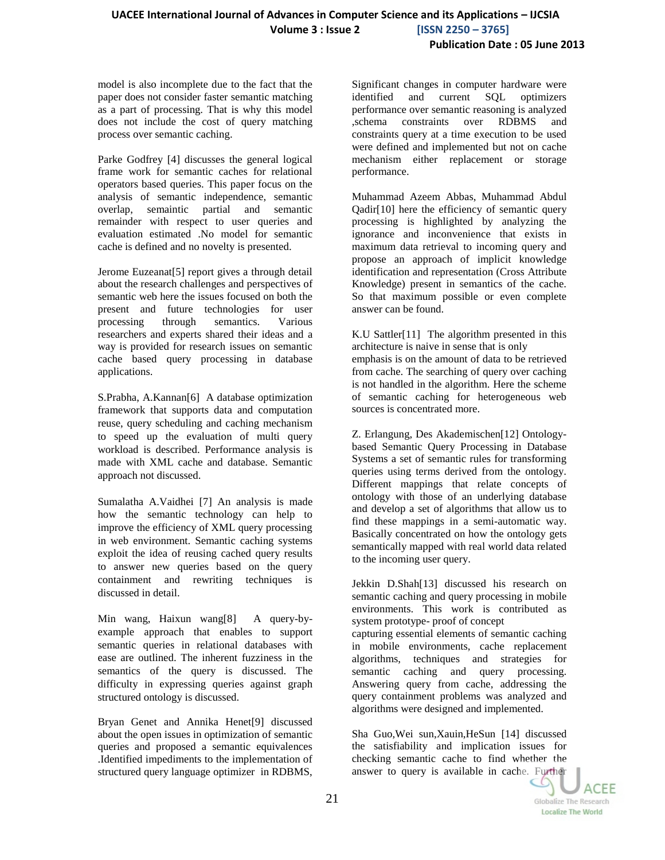model is also incomplete due to the fact that the paper does not consider faster semantic matching as a part of processing. That is why this model does not include the cost of query matching process over semantic caching.

Parke Godfrey [4] discusses the general logical frame work for semantic caches for relational operators based queries. This paper focus on the analysis of semantic independence, semantic overlap, semaintic partial and semantic remainder with respect to user queries and evaluation estimated .No model for semantic cache is defined and no novelty is presented.

Jerome Euzeanat[5] report gives a through detail about the research challenges and perspectives of semantic web here the issues focused on both the present and future technologies for user processing through semantics. Various researchers and experts shared their ideas and a way is provided for research issues on semantic cache based query processing in database applications.

S.Prabha, A.Kannan[6] A database optimization framework that supports data and computation reuse, query scheduling and caching mechanism to speed up the evaluation of multi query workload is described. Performance analysis is made with XML cache and database. Semantic approach not discussed.

Sumalatha A.Vaidhei [7] An analysis is made how the semantic technology can help to improve the efficiency of XML query processing in web environment. Semantic caching systems exploit the idea of reusing cached query results to answer new queries based on the query containment and rewriting techniques is discussed in detail.

Min wang, Haixun wang[8] A query-byexample approach that enables to support semantic queries in relational databases with ease are outlined. The inherent fuzziness in the semantics of the query is discussed. The difficulty in expressing queries against graph structured ontology is discussed.

Bryan Genet and Annika Henet[9] discussed about the open issues in optimization of semantic queries and proposed a semantic equivalences .Identified impediments to the implementation of structured query language optimizer in RDBMS, Significant changes in computer hardware were identified and current SQL optimizers performance over semantic reasoning is analyzed ,schema constraints over RDBMS and constraints query at a time execution to be used were defined and implemented but not on cache mechanism either replacement or storage performance.

Muhammad Azeem Abbas, Muhammad Abdul Qadir[10] here the efficiency of semantic query processing is highlighted by analyzing the ignorance and inconvenience that exists in maximum data retrieval to incoming query and propose an approach of implicit knowledge identification and representation (Cross Attribute Knowledge) present in semantics of the cache. So that maximum possible or even complete answer can be found.

K.U Sattler[11] The algorithm presented in this architecture is naive in sense that is only emphasis is on the amount of data to be retrieved from cache. The searching of query over caching is not handled in the algorithm. Here the scheme of semantic caching for heterogeneous web sources is concentrated more.

Z. Erlangung, Des Akademischen[12] Ontologybased Semantic Query Processing in Database Systems a set of semantic rules for transforming queries using terms derived from the ontology. Different mappings that relate concepts of ontology with those of an underlying database and develop a set of algorithms that allow us to find these mappings in a semi-automatic way. Basically concentrated on how the ontology gets semantically mapped with real world data related to the incoming user query.

Jekkin D.Shah[13] discussed his research on semantic caching and query processing in mobile environments. This work is contributed as system prototype- proof of concept capturing essential elements of semantic caching in mobile environments, cache replacement algorithms, techniques and strategies for semantic caching and query processing. Answering query from cache, addressing the query containment problems was analyzed and algorithms were designed and implemented.

Sha Guo,Wei sun,Xauin,HeSun [14] discussed the satisfiability and implication issues for checking semantic cache to find whether the answer to query is available in cache. Further

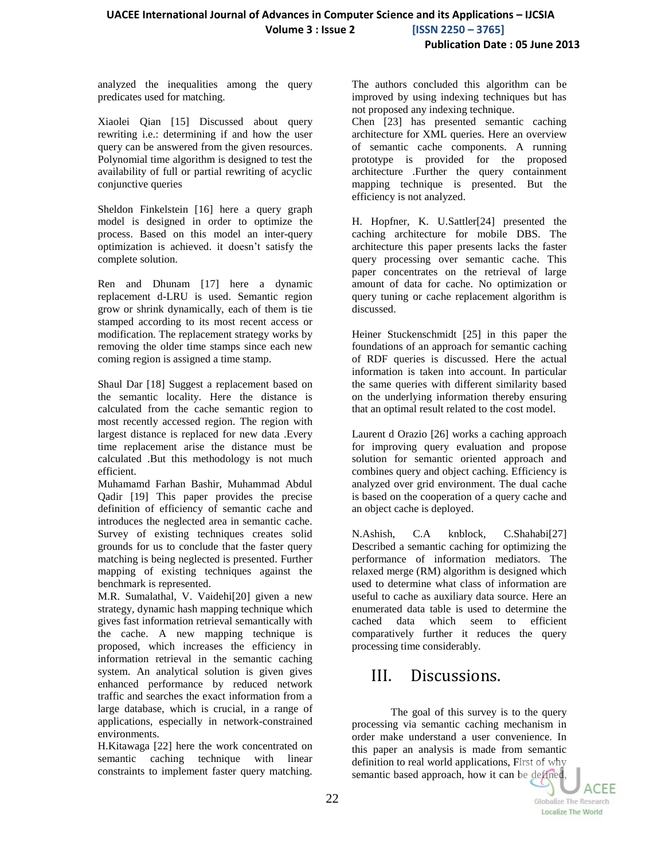analyzed the inequalities among the query predicates used for matching.

Xiaolei Qian [15] Discussed about query rewriting i.e.: determining if and how the user query can be answered from the given resources. Polynomial time algorithm is designed to test the availability of full or partial rewriting of acyclic conjunctive queries

Sheldon Finkelstein [16] here a query graph model is designed in order to optimize the process. Based on this model an inter-query optimization is achieved. it doesn't satisfy the complete solution.

Ren and Dhunam [17] here a dynamic replacement d-LRU is used. Semantic region grow or shrink dynamically, each of them is tie stamped according to its most recent access or modification. The replacement strategy works by removing the older time stamps since each new coming region is assigned a time stamp.

Shaul Dar [18] Suggest a replacement based on the semantic locality. Here the distance is calculated from the cache semantic region to most recently accessed region. The region with largest distance is replaced for new data .Every time replacement arise the distance must be calculated .But this methodology is not much efficient.

Muhamamd Farhan Bashir, Muhammad Abdul Qadir [19] This paper provides the precise definition of efficiency of semantic cache and introduces the neglected area in semantic cache. Survey of existing techniques creates solid grounds for us to conclude that the faster query matching is being neglected is presented. Further mapping of existing techniques against the benchmark is represented.

M.R. Sumalathal, V. Vaidehi[20] given a new strategy, dynamic hash mapping technique which gives fast information retrieval semantically with the cache. A new mapping technique is proposed, which increases the efficiency in information retrieval in the semantic caching system. An analytical solution is given gives enhanced performance by reduced network traffic and searches the exact information from a large database, which is crucial, in a range of applications, especially in network-constrained environments.

H.Kitawaga [22] here the work concentrated on semantic caching technique with linear constraints to implement faster query matching.

The authors concluded this algorithm can be improved by using indexing techniques but has not proposed any indexing technique.

Chen [23] has presented semantic caching architecture for XML queries. Here an overview of semantic cache components. A running prototype is provided for the proposed architecture .Further the query containment mapping technique is presented. But the efficiency is not analyzed.

H. Hopfner, K. U.Sattler[24] presented the caching architecture for mobile DBS. The architecture this paper presents lacks the faster query processing over semantic cache. This paper concentrates on the retrieval of large amount of data for cache. No optimization or query tuning or cache replacement algorithm is discussed.

Heiner Stuckenschmidt [25] in this paper the foundations of an approach for semantic caching of RDF queries is discussed. Here the actual information is taken into account. In particular the same queries with different similarity based on the underlying information thereby ensuring that an optimal result related to the cost model.

Laurent d Orazio [26] works a caching approach for improving query evaluation and propose solution for semantic oriented approach and combines query and object caching. Efficiency is analyzed over grid environment. The dual cache is based on the cooperation of a query cache and an object cache is deployed.

N.Ashish, C.A knblock, C.Shahabi[27] Described a semantic caching for optimizing the performance of information mediators. The relaxed merge (RM) algorithm is designed which used to determine what class of information are useful to cache as auxiliary data source. Here an enumerated data table is used to determine the cached data which seem to efficient comparatively further it reduces the query processing time considerably.

## III. Discussions.

The goal of this survey is to the query processing via semantic caching mechanism in order make understand a user convenience. In this paper an analysis is made from semantic definition to real world applications, First of why semantic based approach, how it can be defined,

**ACEE** 

Globalize The Research Localize The World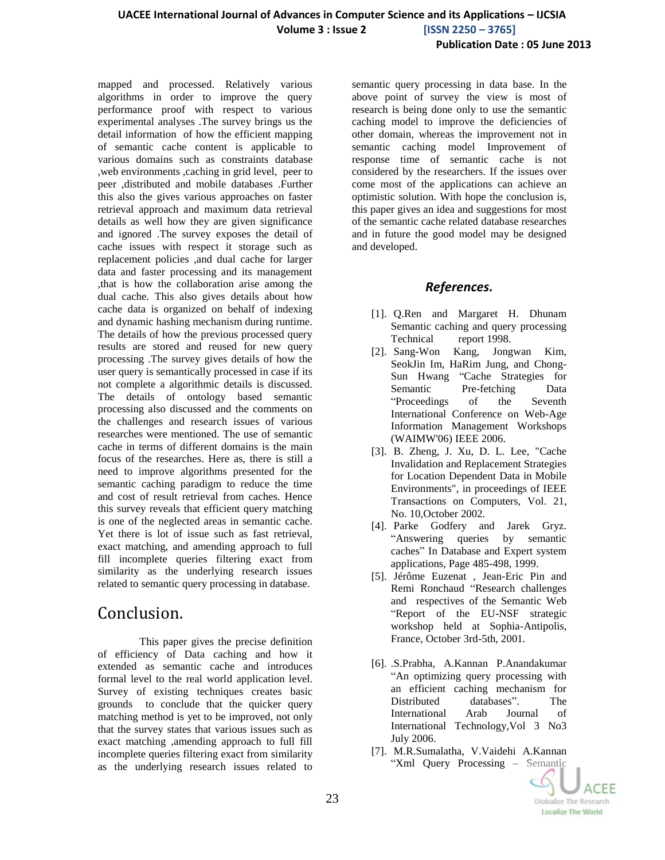mapped and processed. Relatively various algorithms in order to improve the query performance proof with respect to various experimental analyses .The survey brings us the detail information of how the efficient mapping of semantic cache content is applicable to various domains such as constraints database ,web environments ,caching in grid level, peer to peer ,distributed and mobile databases .Further this also the gives various approaches on faster retrieval approach and maximum data retrieval details as well how they are given significance and ignored .The survey exposes the detail of cache issues with respect it storage such as replacement policies ,and dual cache for larger data and faster processing and its management ,that is how the collaboration arise among the dual cache. This also gives details about how cache data is organized on behalf of indexing and dynamic hashing mechanism during runtime. The details of how the previous processed query results are stored and reused for new query processing .The survey gives details of how the user query is semantically processed in case if its not complete a algorithmic details is discussed. The details of ontology based semantic processing also discussed and the comments on the challenges and research issues of various researches were mentioned. The use of semantic cache in terms of different domains is the main focus of the researches. Here as, there is still a need to improve algorithms presented for the semantic caching paradigm to reduce the time and cost of result retrieval from caches. Hence this survey reveals that efficient query matching is one of the neglected areas in semantic cache. Yet there is lot of issue such as fast retrieval, exact matching, and amending approach to full fill incomplete queries filtering exact from similarity as the underlying research issues related to semantic query processing in database.

#### Conclusion.

This paper gives the precise definition of efficiency of Data caching and how it extended as semantic cache and introduces formal level to the real world application level. Survey of existing techniques creates basic grounds to conclude that the quicker query matching method is yet to be improved, not only that the survey states that various issues such as exact matching ,amending approach to full fill incomplete queries filtering exact from similarity as the underlying research issues related to

semantic query processing in data base. In the above point of survey the view is most of research is being done only to use the semantic caching model to improve the deficiencies of other domain, whereas the improvement not in semantic caching model Improvement of response time of semantic cache is not considered by the researchers. If the issues over come most of the applications can achieve an optimistic solution. With hope the conclusion is, this paper gives an idea and suggestions for most of the semantic cache related database researches and in future the good model may be designed and developed.

#### *References.*

- [1]. Q.Ren and Margaret H. Dhunam Semantic caching and query processing Technical report 1998.
- [2]. Sang-Won Kang, Jongwan Kim, SeokJin Im, HaRim Jung, and Chong-Sun Hwang "Cache Strategies for Semantic Pre-fetching Data "Proceedings of the Seventh International Conference on Web-Age Information Management Workshops (WAIMW'06) IEEE 2006.
- [3]. B. Zheng, J. Xu, D. L. Lee, "Cache Invalidation and Replacement Strategies for Location Dependent Data in Mobile Environments", in proceedings of IEEE Transactions on Computers, Vol. 21, No. 10,October 2002.
- [4]. Parke Godfery and Jarek Gryz. "Answering queries by semantic caches" In Database and Expert system applications, Page 485-498, 1999.
- [5]. Jérôme Euzenat , Jean-Eric Pin and Remi Ronchaud "Research challenges and respectives of the Semantic Web "Report of the EU-NSF strategic workshop held at Sophia-Antipolis, France, October 3rd-5th, 2001.
- [6]. .S.Prabha, A.Kannan P.Anandakumar "An optimizing query processing with an efficient caching mechanism for Distributed databases". The International Arab Journal of International Technology,Vol 3 No3 July 2006.
- [7]. M.R.Sumalatha, V.Vaidehi A.Kannan "Xml Query Processing – Semantic